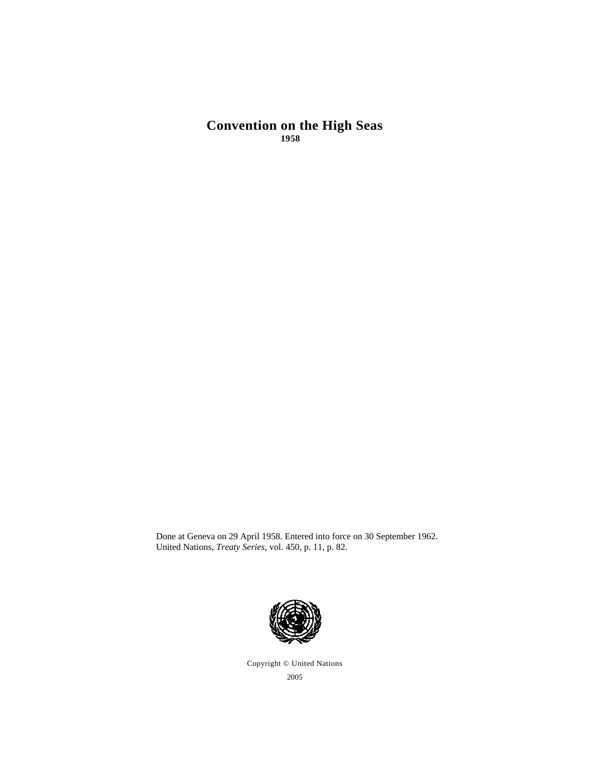# **Convention on the High Seas 1958**

Done at Geneva on 29 April 1958. Entered into force on 30 September 1962. United Nations, *Treaty Series*, vol. 450, p. 11, p. 82.



Copyright © United Nations 2005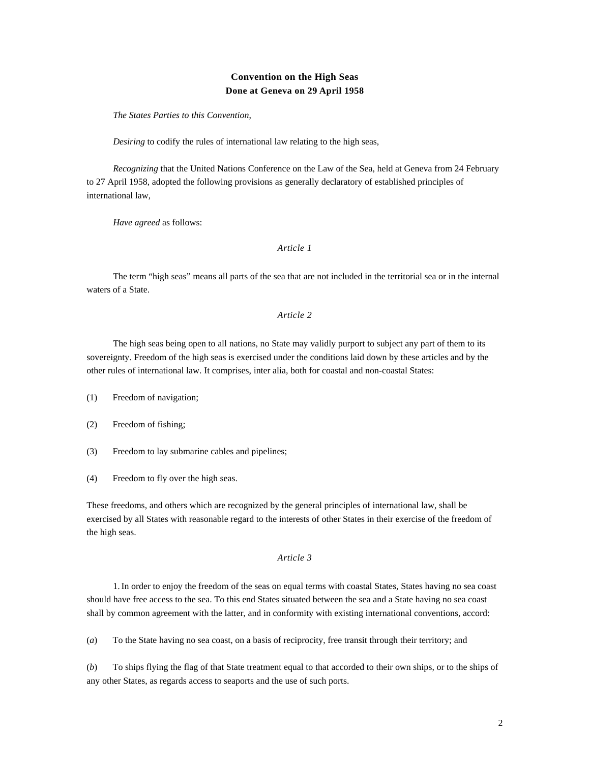# **Convention on the High Seas Done at Geneva on 29 April 1958**

*The States Parties to this Convention*,

*Desiring* to codify the rules of international law relating to the high seas,

*Recognizing* that the United Nations Conference on the Law of the Sea, held at Geneva from 24 February to 27 April 1958, adopted the following provisions as generally declaratory of established principles of international law,

*Have agreed* as follows:

#### *Article 1*

The term "high seas" means all parts of the sea that are not included in the territorial sea or in the internal waters of a State.

### *Article 2*

The high seas being open to all nations, no State may validly purport to subject any part of them to its sovereignty. Freedom of the high seas is exercised under the conditions laid down by these articles and by the other rules of international law. It comprises, inter alia, both for coastal and non-coastal States:

- (1) Freedom of navigation;
- (2) Freedom of fishing;
- (3) Freedom to lay submarine cables and pipelines;
- (4) Freedom to fly over the high seas.

These freedoms, and others which are recognized by the general principles of international law, shall be exercised by all States with reasonable regard to the interests of other States in their exercise of the freedom of the high seas.

#### *Article 3*

1. In order to enjoy the freedom of the seas on equal terms with coastal States, States having no sea coast should have free access to the sea. To this end States situated between the sea and a State having no sea coast shall by common agreement with the latter, and in conformity with existing international conventions, accord:

(*a*) To the State having no sea coast, on a basis of reciprocity, free transit through their territory; and

(*b*) To ships flying the flag of that State treatment equal to that accorded to their own ships, or to the ships of any other States, as regards access to seaports and the use of such ports.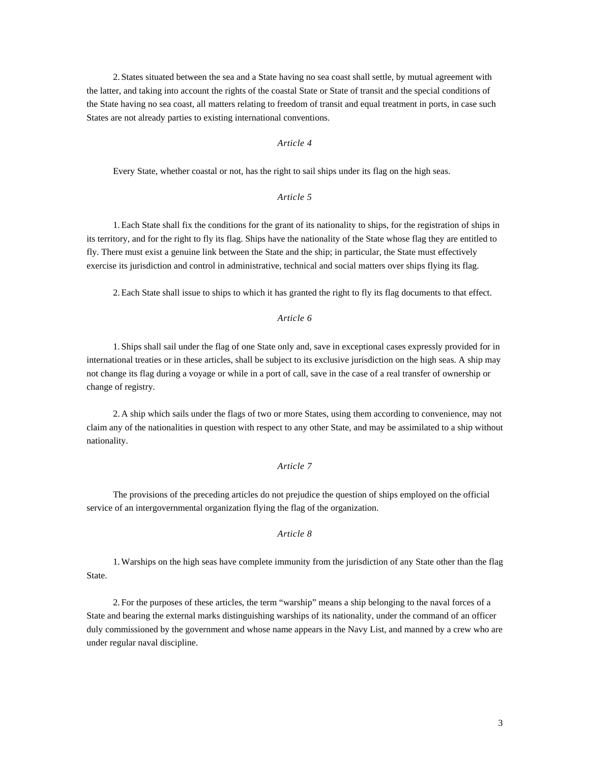2. States situated between the sea and a State having no sea coast shall settle, by mutual agreement with the latter, and taking into account the rights of the coastal State or State of transit and the special conditions of the State having no sea coast, all matters relating to freedom of transit and equal treatment in ports, in case such States are not already parties to existing international conventions.

# *Article 4*

Every State, whether coastal or not, has the right to sail ships under its flag on the high seas.

# *Article 5*

1. Each State shall fix the conditions for the grant of its nationality to ships, for the registration of ships in its territory, and for the right to fly its flag. Ships have the nationality of the State whose flag they are entitled to fly. There must exist a genuine link between the State and the ship; in particular, the State must effectively exercise its jurisdiction and control in administrative, technical and social matters over ships flying its flag.

2. Each State shall issue to ships to which it has granted the right to fly its flag documents to that effect.

# *Article 6*

1. Ships shall sail under the flag of one State only and, save in exceptional cases expressly provided for in international treaties or in these articles, shall be subject to its exclusive jurisdiction on the high seas. A ship may not change its flag during a voyage or while in a port of call, save in the case of a real transfer of ownership or change of registry.

2. A ship which sails under the flags of two or more States, using them according to convenience, may not claim any of the nationalities in question with respect to any other State, and may be assimilated to a ship without nationality.

# *Article 7*

The provisions of the preceding articles do not prejudice the question of ships employed on the official service of an intergovernmental organization flying the flag of the organization.

#### *Article 8*

1. Warships on the high seas have complete immunity from the jurisdiction of any State other than the flag State.

2. For the purposes of these articles, the term "warship" means a ship belonging to the naval forces of a State and bearing the external marks distinguishing warships of its nationality, under the command of an officer duly commissioned by the government and whose name appears in the Navy List, and manned by a crew who are under regular naval discipline.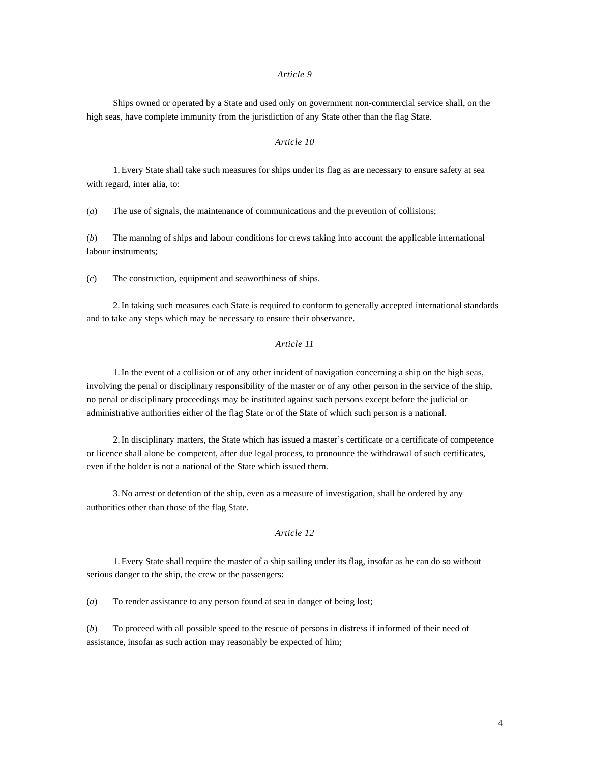Ships owned or operated by a State and used only on government non-commercial service shall, on the high seas, have complete immunity from the jurisdiction of any State other than the flag State.

#### *Article 10*

1. Every State shall take such measures for ships under its flag as are necessary to ensure safety at sea with regard, inter alia, to:

(*a*) The use of signals, the maintenance of communications and the prevention of collisions;

(*b*) The manning of ships and labour conditions for crews taking into account the applicable international labour instruments;

(*c*) The construction, equipment and seaworthiness of ships.

2. In taking such measures each State is required to conform to generally accepted international standards and to take any steps which may be necessary to ensure their observance.

## *Article 11*

1. In the event of a collision or of any other incident of navigation concerning a ship on the high seas, involving the penal or disciplinary responsibility of the master or of any other person in the service of the ship, no penal or disciplinary proceedings may be instituted against such persons except before the judicial or administrative authorities either of the flag State or of the State of which such person is a national.

2. In disciplinary matters, the State which has issued a master's certificate or a certificate of competence or licence shall alone be competent, after due legal process, to pronounce the withdrawal of such certificates, even if the holder is not a national of the State which issued them.

3. No arrest or detention of the ship, even as a measure of investigation, shall be ordered by any authorities other than those of the flag State.

## *Article 12*

1. Every State shall require the master of a ship sailing under its flag, insofar as he can do so without serious danger to the ship, the crew or the passengers:

(*a*) To render assistance to any person found at sea in danger of being lost;

(*b*) To proceed with all possible speed to the rescue of persons in distress if informed of their need of assistance, insofar as such action may reasonably be expected of him;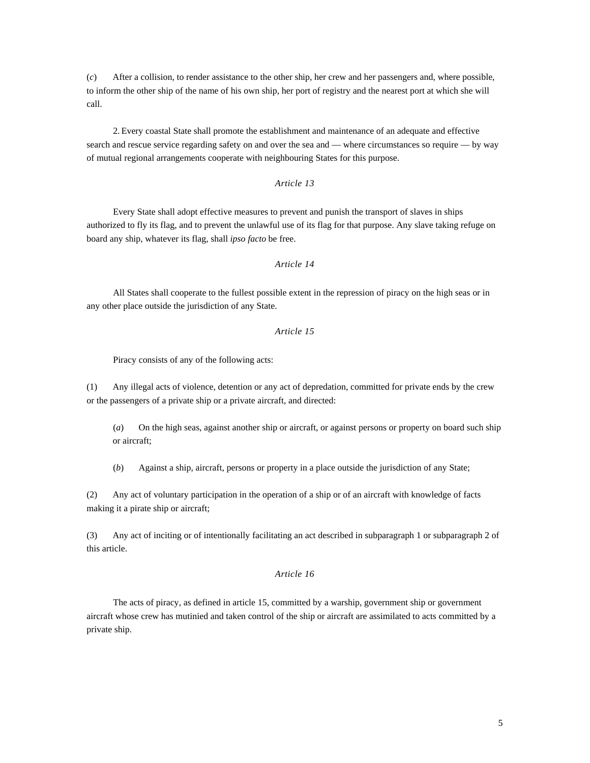(*c*) After a collision, to render assistance to the other ship, her crew and her passengers and, where possible, to inform the other ship of the name of his own ship, her port of registry and the nearest port at which she will call.

2. Every coastal State shall promote the establishment and maintenance of an adequate and effective search and rescue service regarding safety on and over the sea and — where circumstances so require — by way of mutual regional arrangements cooperate with neighbouring States for this purpose.

# *Article 13*

Every State shall adopt effective measures to prevent and punish the transport of slaves in ships authorized to fly its flag, and to prevent the unlawful use of its flag for that purpose. Any slave taking refuge on board any ship, whatever its flag, shall *ipso facto* be free.

### *Article 14*

All States shall cooperate to the fullest possible extent in the repression of piracy on the high seas or in any other place outside the jurisdiction of any State.

## *Article 15*

Piracy consists of any of the following acts:

(1) Any illegal acts of violence, detention or any act of depredation, committed for private ends by the crew or the passengers of a private ship or a private aircraft, and directed:

(*a*) On the high seas, against another ship or aircraft, or against persons or property on board such ship or aircraft;

(*b*) Against a ship, aircraft, persons or property in a place outside the jurisdiction of any State;

(2) Any act of voluntary participation in the operation of a ship or of an aircraft with knowledge of facts making it a pirate ship or aircraft;

(3) Any act of inciting or of intentionally facilitating an act described in subparagraph 1 or subparagraph 2 of this article.

# *Article 16*

The acts of piracy, as defined in article 15, committed by a warship, government ship or government aircraft whose crew has mutinied and taken control of the ship or aircraft are assimilated to acts committed by a private ship.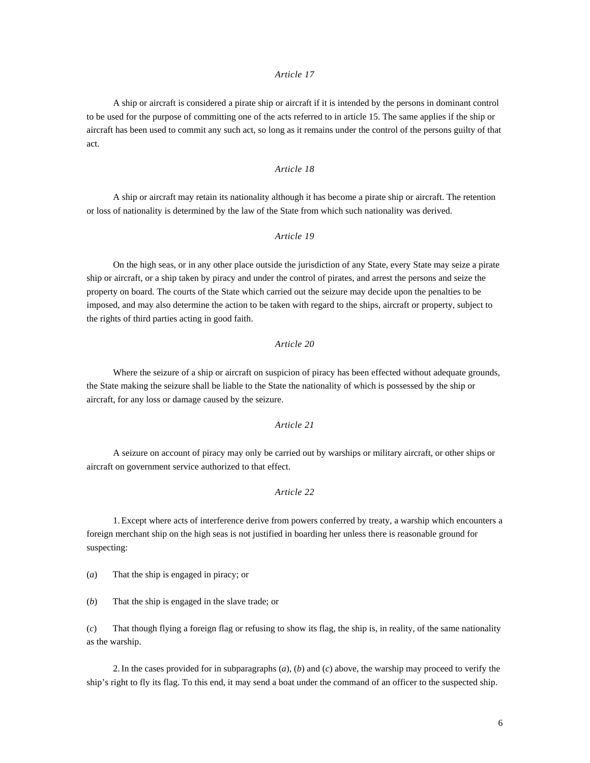A ship or aircraft is considered a pirate ship or aircraft if it is intended by the persons in dominant control to be used for the purpose of committing one of the acts referred to in article 15. The same applies if the ship or aircraft has been used to commit any such act, so long as it remains under the control of the persons guilty of that act.

# *Article 18*

A ship or aircraft may retain its nationality although it has become a pirate ship or aircraft. The retention or loss of nationality is determined by the law of the State from which such nationality was derived.

### *Article 19*

On the high seas, or in any other place outside the jurisdiction of any State, every State may seize a pirate ship or aircraft, or a ship taken by piracy and under the control of pirates, and arrest the persons and seize the property on board. The courts of the State which carried out the seizure may decide upon the penalties to be imposed, and may also determine the action to be taken with regard to the ships, aircraft or property, subject to the rights of third parties acting in good faith.

## *Article 20*

Where the seizure of a ship or aircraft on suspicion of piracy has been effected without adequate grounds, the State making the seizure shall be liable to the State the nationality of which is possessed by the ship or aircraft, for any loss or damage caused by the seizure.

# *Article 21*

A seizure on account of piracy may only be carried out by warships or military aircraft, or other ships or aircraft on government service authorized to that effect.

# *Article 22*

1. Except where acts of interference derive from powers conferred by treaty, a warship which encounters a foreign merchant ship on the high seas is not justified in boarding her unless there is reasonable ground for suspecting:

(*a*) That the ship is engaged in piracy; or

(*b*) That the ship is engaged in the slave trade; or

(*c*) That though flying a foreign flag or refusing to show its flag, the ship is, in reality, of the same nationality as the warship.

2. In the cases provided for in subparagraphs (*a*), (*b*) and (*c*) above, the warship may proceed to verify the ship's right to fly its flag. To this end, it may send a boat under the command of an officer to the suspected ship.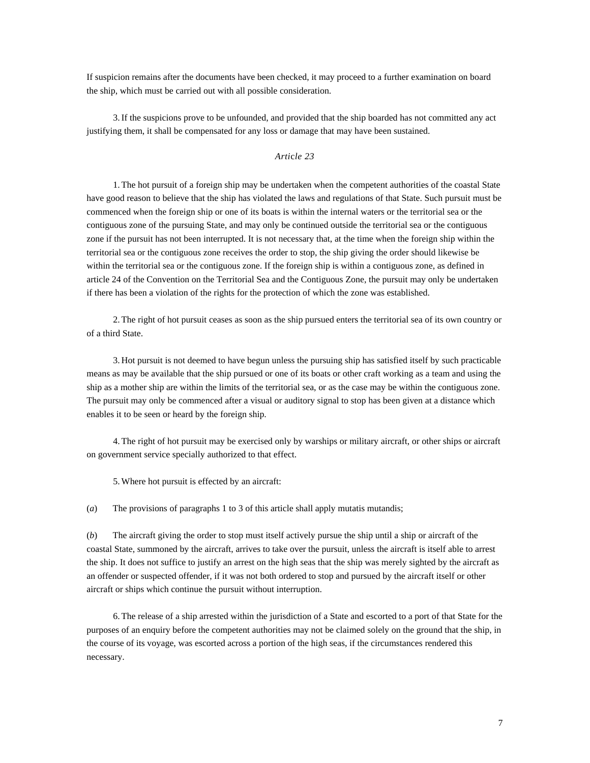If suspicion remains after the documents have been checked, it may proceed to a further examination on board the ship, which must be carried out with all possible consideration.

3. If the suspicions prove to be unfounded, and provided that the ship boarded has not committed any act justifying them, it shall be compensated for any loss or damage that may have been sustained.

#### *Arti*c*le 23*

1. The hot pursuit of a foreign ship may be undertaken when the competent authorities of the coastal State have good reason to believe that the ship has violated the laws and regulations of that State. Such pursuit must be commenced when the foreign ship or one of its boats is within the internal waters or the territorial sea or the contiguous zone of the pursuing State, and may only be continued outside the territorial sea or the contiguous zone if the pursuit has not been interrupted. It is not necessary that, at the time when the foreign ship within the territorial sea or the contiguous zone receives the order to stop, the ship giving the order should likewise be within the territorial sea or the contiguous zone. If the foreign ship is within a contiguous zone, as defined in article 24 of the Convention on the Territorial Sea and the Contiguous Zone, the pursuit may only be undertaken if there has been a violation of the rights for the protection of which the zone was established.

2. The right of hot pursuit ceases as soon as the ship pursued enters the territorial sea of its own country or of a third State.

3. Hot pursuit is not deemed to have begun unless the pursuing ship has satisfied itself by such practicable means as may be available that the ship pursued or one of its boats or other craft working as a team and using the ship as a mother ship are within the limits of the territorial sea, or as the case may be within the contiguous zone. The pursuit may only be commenced after a visual or auditory signal to stop has been given at a distance which enables it to be seen or heard by the foreign ship.

4. The right of hot pursuit may be exercised only by warships or military aircraft, or other ships or aircraft on government service specially authorized to that effect.

5. Where hot pursuit is effected by an aircraft:

(*a*) The provisions of paragraphs 1 to 3 of this article shall apply mutatis mutandis;

(*b*) The aircraft giving the order to stop must itself actively pursue the ship until a ship or aircraft of the coastal State, summoned by the aircraft, arrives to take over the pursuit, unless the aircraft is itself able to arrest the ship. It does not suffice to justify an arrest on the high seas that the ship was merely sighted by the aircraft as an offender or suspected offender, if it was not both ordered to stop and pursued by the aircraft itself or other aircraft or ships which continue the pursuit without interruption.

6. The release of a ship arrested within the jurisdiction of a State and escorted to a port of that State for the purposes of an enquiry before the competent authorities may not be claimed solely on the ground that the ship, in the course of its voyage, was escorted across a portion of the high seas, if the circumstances rendered this necessary.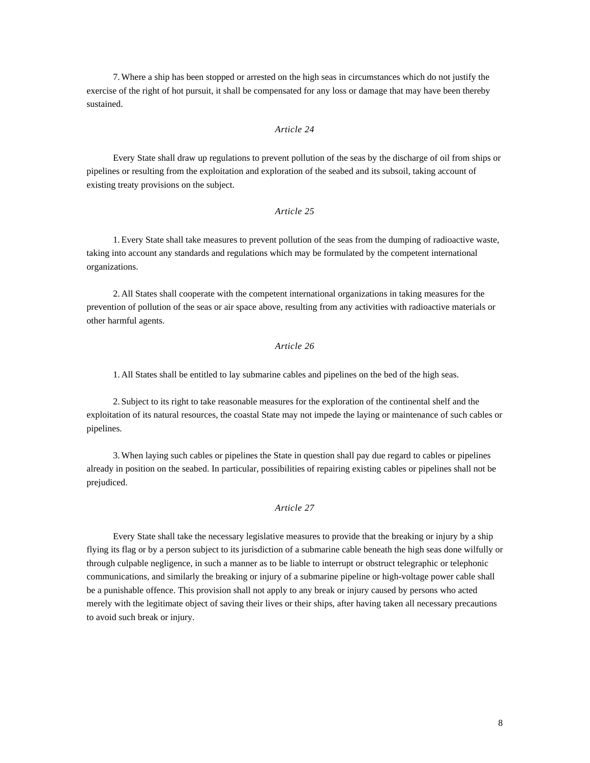7. Where a ship has been stopped or arrested on the high seas in circumstances which do not justify the exercise of the right of hot pursuit, it shall be compensated for any loss or damage that may have been thereby sustained.

# *Article 24*

Every State shall draw up regulations to prevent pollution of the seas by the discharge of oil from ships or pipelines or resulting from the exploitation and exploration of the seabed and its subsoil, taking account of existing treaty provisions on the subject.

### *Article 25*

1. Every State shall take measures to prevent pollution of the seas from the dumping of radioactive waste, taking into account any standards and regulations which may be formulated by the competent international organizations.

2. All States shall cooperate with the competent international organizations in taking measures for the prevention of pollution of the seas or air space above, resulting from any activities with radioactive materials or other harmful agents.

### *Article 26*

1. All States shall be entitled to lay submarine cables and pipelines on the bed of the high seas.

2. Subject to its right to take reasonable measures for the exploration of the continental shelf and the exploitation of its natural resources, the coastal State may not impede the laying or maintenance of such cables or pipelines.

3. When laying such cables or pipelines the State in question shall pay due regard to cables or pipelines already in position on the seabed. In particular, possibilities of repairing existing cables or pipelines shall not be prejudiced.

#### *Article 27*

Every State shall take the necessary legislative measures to provide that the breaking or injury by a ship flying its flag or by a person subject to its jurisdiction of a submarine cable beneath the high seas done wilfully or through culpable negligence, in such a manner as to be liable to interrupt or obstruct telegraphic or telephonic communications, and similarly the breaking or injury of a submarine pipeline or high-voltage power cable shall be a punishable offence. This provision shall not apply to any break or injury caused by persons who acted merely with the legitimate object of saving their lives or their ships, after having taken all necessary precautions to avoid such break or injury.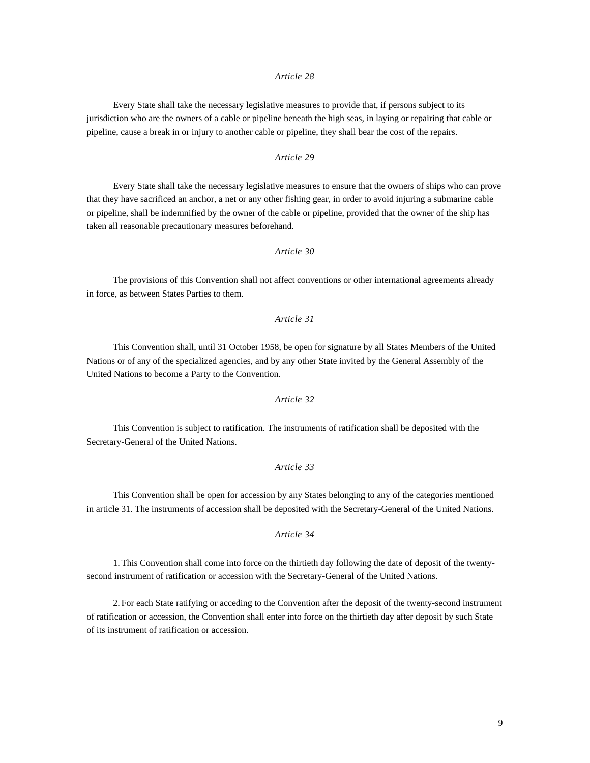Every State shall take the necessary legislative measures to provide that, if persons subject to its jurisdiction who are the owners of a cable or pipeline beneath the high seas, in laying or repairing that cable or pipeline, cause a break in or injury to another cable or pipeline, they shall bear the cost of the repairs.

#### *Article 29*

Every State shall take the necessary legislative measures to ensure that the owners of ships who can prove that they have sacrificed an anchor, a net or any other fishing gear, in order to avoid injuring a submarine cable or pipeline, shall be indemnified by the owner of the cable or pipeline, provided that the owner of the ship has taken all reasonable precautionary measures beforehand.

#### *Article 30*

The provisions of this Convention shall not affect conventions or other international agreements already in force, as between States Parties to them.

## *Article 31*

This Convention shall, until 31 October 1958, be open for signature by all States Members of the United Nations or of any of the specialized agencies, and by any other State invited by the General Assembly of the United Nations to become a Party to the Convention.

## *Article 32*

This Convention is subject to ratification. The instruments of ratification shall be deposited with the Secretary-General of the United Nations.

# *Article 33*

This Convention shall be open for accession by any States belonging to any of the categories mentioned in article 31. The instruments of accession shall be deposited with the Secretary-General of the United Nations.

*Article 34* 

1. This Convention shall come into force on the thirtieth day following the date of deposit of the twentysecond instrument of ratification or accession with the Secretary-General of the United Nations.

2. For each State ratifying or acceding to the Convention after the deposit of the twenty-second instrument of ratification or accession, the Convention shall enter into force on the thirtieth day after deposit by such State of its instrument of ratification or accession.